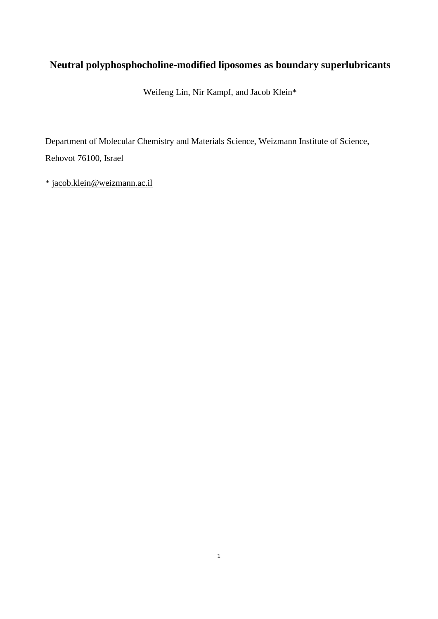# **Neutral polyphosphocholine-modified liposomes as boundary superlubricants**

Weifeng Lin, Nir Kampf, and Jacob Klein\*

Department of Molecular Chemistry and Materials Science, Weizmann Institute of Science, Rehovot 76100, Israel

\* [jacob.klein@weizmann.ac.il](mailto:jacob.klein@weizmann.ac.il)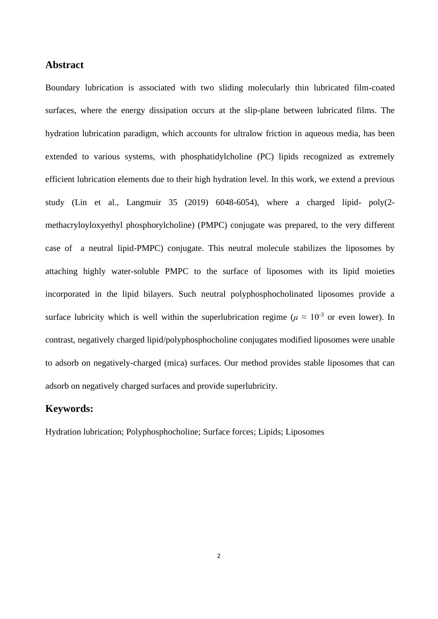## **Abstract**

Boundary lubrication is associated with two sliding molecularly thin lubricated film-coated surfaces, where the energy dissipation occurs at the slip-plane between lubricated films. The hydration lubrication paradigm, which accounts for ultralow friction in aqueous media, has been extended to various systems, with phosphatidylcholine (PC) lipids recognized as extremely efficient lubrication elements due to their high hydration level. In this work, we extend a previous study (Lin et al., Langmuir 35 (2019) 6048-6054), where a charged lipid- poly(2 methacryloyloxyethyl phosphorylcholine) (PMPC) conjugate was prepared, to the very different case of a neutral lipid-PMPC) conjugate. This neutral molecule stabilizes the liposomes by attaching highly water-soluble PMPC to the surface of liposomes with its lipid moieties incorporated in the lipid bilayers. Such neutral polyphosphocholinated liposomes provide a surface lubricity which is well within the superlubrication regime ( $\mu \approx 10^{-3}$  or even lower). In contrast, negatively charged lipid/polyphosphocholine conjugates modified liposomes were unable to adsorb on negatively-charged (mica) surfaces. Our method provides stable liposomes that can adsorb on negatively charged surfaces and provide superlubricity.

## **Keywords:**

Hydration lubrication; Polyphosphocholine; Surface forces; Lipids; Liposomes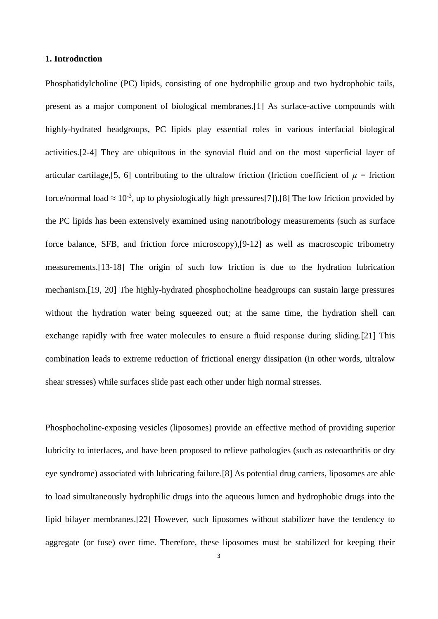## **1. Introduction**

Phosphatidylcholine (PC) lipids, consisting of one hydrophilic group and two hydrophobic tails, present as a major component of biological membranes.[1] As surface-active compounds with highly-hydrated headgroups, PC lipids play essential roles in various interfacial biological activities.[2-4] They are ubiquitous in the synovial fluid and on the most superficial layer of articular cartilage, [5, 6] contributing to the ultralow friction (friction coefficient of  $\mu$  = friction force/normal load  $\approx 10^{-3}$ , up to physiologically high pressures[7]).[8] The low friction provided by the PC lipids has been extensively examined using nanotribology measurements (such as surface force balance, SFB, and friction force microscopy),[9-12] as well as macroscopic tribometry measurements.[13-18] The origin of such low friction is due to the hydration lubrication mechanism.[19, 20] The highly-hydrated phosphocholine headgroups can sustain large pressures without the hydration water being squeezed out; at the same time, the hydration shell can exchange rapidly with free water molecules to ensure a fluid response during sliding.[21] This combination leads to extreme reduction of frictional energy dissipation (in other words, ultralow shear stresses) while surfaces slide past each other under high normal stresses.

Phosphocholine-exposing vesicles (liposomes) provide an effective method of providing superior lubricity to interfaces, and have been proposed to relieve pathologies (such as osteoarthritis or dry eye syndrome) associated with lubricating failure.[8] As potential drug carriers, liposomes are able to load simultaneously hydrophilic drugs into the aqueous lumen and hydrophobic drugs into the lipid bilayer membranes.[22] However, such liposomes without stabilizer have the tendency to aggregate (or fuse) over time. Therefore, these liposomes must be stabilized for keeping their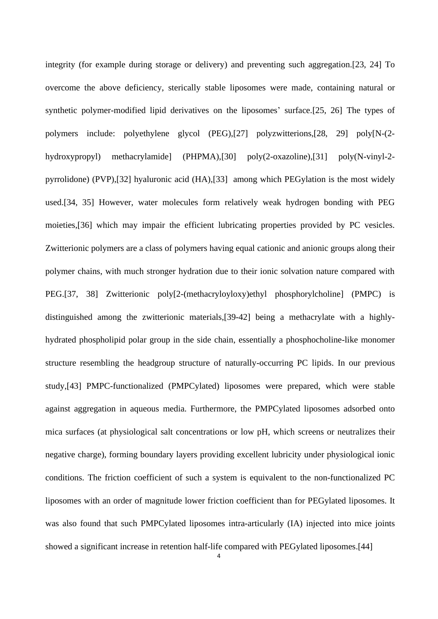integrity (for example during storage or delivery) and preventing such aggregation.[23, 24] To overcome the above deficiency, sterically stable liposomes were made, containing natural or synthetic polymer-modified lipid derivatives on the liposomes' surface.[25, 26] The types of polymers include: polyethylene glycol (PEG),[27] polyzwitterions,[28, 29] poly[N-(2 hydroxypropyl) methacrylamide] (PHPMA),[30] poly(2-oxazoline),[31] poly(N-vinyl-2 pyrrolidone) (PVP),[32] hyaluronic acid (HA),[33] among which PEGylation is the most widely used.[34, 35] However, water molecules form relatively weak hydrogen bonding with PEG moieties,[36] which may impair the efficient lubricating properties provided by PC vesicles. Zwitterionic polymers are a class of polymers having equal cationic and anionic groups along their polymer chains, with much stronger hydration due to their ionic solvation nature compared with PEG.[37, 38] Zwitterionic poly[2-(methacryloyloxy)ethyl phosphorylcholine] (PMPC) is distinguished among the zwitterionic materials,[39-42] being a methacrylate with a highlyhydrated phospholipid polar group in the side chain, essentially a phosphocholine-like monomer structure resembling the headgroup structure of naturally-occurring PC lipids. In our previous study,[43] PMPC-functionalized (PMPCylated) liposomes were prepared, which were stable against aggregation in aqueous media. Furthermore, the PMPCylated liposomes adsorbed onto mica surfaces (at physiological salt concentrations or low pH, which screens or neutralizes their negative charge), forming boundary layers providing excellent lubricity under physiological ionic conditions. The friction coefficient of such a system is equivalent to the non-functionalized PC liposomes with an order of magnitude lower friction coefficient than for PEGylated liposomes. It was also found that such PMPCylated liposomes intra-articularly (IA) injected into mice joints showed a significant increase in retention half-life compared with PEGylated liposomes.[44]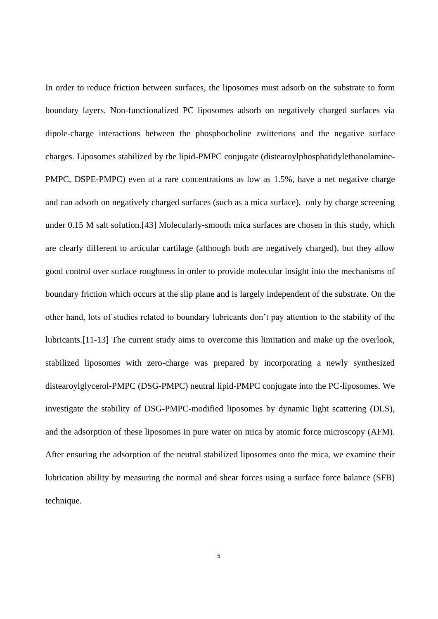In order to reduce friction between surfaces, the liposomes must adsorb on the substrate to form boundary layers. Non-functionalized PC liposomes adsorb on negatively charged surfaces via dipole-charge interactions between the phosphocholine zwitterions and the negative surface charges. Liposomes stabilized by the lipid-PMPC conjugate (distearoylphosphatidylethanolamine-PMPC, DSPE-PMPC) even at a rare concentrations as low as 1.5%, have a net negative charge and can adsorb on negatively charged surfaces (such as a mica surface), only by charge screening under 0.15 M salt solution.[43] Molecularly-smooth mica surfaces are chosen in this study, which are clearly different to articular cartilage (although both are negatively charged), but they allow good control over surface roughness in order to provide molecular insight into the mechanisms of boundary friction which occurs at the slip plane and is largely independent of the substrate. On the other hand, lots of studies related to boundary lubricants don't pay attention to the stability of the lubricants.[11-13] The current study aims to overcome this limitation and make up the overlook, stabilized liposomes with zero-charge was prepared by incorporating a newly synthesized distearoylglycerol-PMPC (DSG-PMPC) neutral lipid-PMPC conjugate into the PC-liposomes. We investigate the stability of DSG-PMPC-modified liposomes by dynamic light scattering (DLS), and the adsorption of these liposomes in pure water on mica by atomic force microscopy (AFM). After ensuring the adsorption of the neutral stabilized liposomes onto the mica, we examine their lubrication ability by measuring the normal and shear forces using a surface force balance (SFB) technique.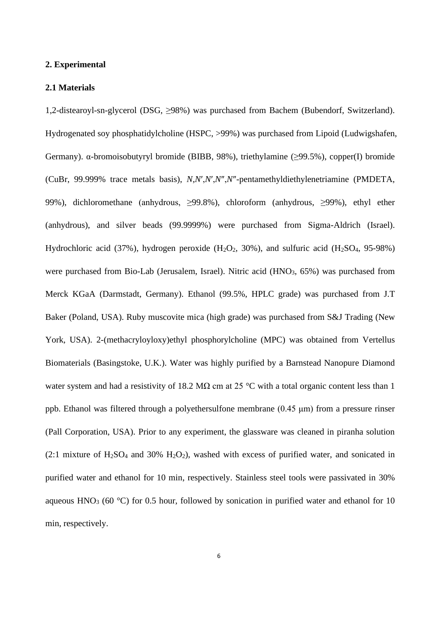#### **2. Experimental**

#### **2.1 Materials**

1,2-distearoyl-sn-glycerol (DSG, ≥98%) was purchased from Bachem (Bubendorf, Switzerland). Hydrogenated soy phosphatidylcholine (HSPC, >99%) was purchased from Lipoid (Ludwigshafen, Germany). α-bromoisobutyryl bromide (BIBB, 98%), triethylamine (≥99.5%), copper(I) bromide (CuBr, 99.999% trace metals basis), *N*,*N*′,*N*′,*N*″,*N*″-pentamethyldiethylenetriamine (PMDETA, 99%), dichloromethane (anhydrous, ≥99.8%), chloroform (anhydrous, ≥99%), ethyl ether (anhydrous), and silver beads (99.9999%) were purchased from Sigma-Aldrich (Israel). Hydrochloric acid (37%), hydrogen peroxide (H<sub>2</sub>O<sub>2</sub>, 30%), and sulfuric acid (H<sub>2</sub>SO<sub>4</sub>, 95-98%) were purchased from Bio-Lab (Jerusalem, Israel). Nitric acid  $(HNO<sub>3</sub>, 65%)$  was purchased from Merck KGaA (Darmstadt, Germany). Ethanol (99.5%, HPLC grade) was purchased from J.T Baker (Poland, USA). Ruby muscovite mica (high grade) was purchased from S&J Trading (New York, USA). 2-(methacryloyloxy)ethyl phosphorylcholine (MPC) was obtained from Vertellus Biomaterials (Basingstoke, U.K.). Water was highly purified by a Barnstead Nanopure Diamond water system and had a resistivity of 18.2 M $\Omega$  cm at 25 °C with a total organic content less than 1 ppb. Ethanol was filtered through a polyethersulfone membrane (0.45 μm) from a pressure rinser (Pall Corporation, USA). Prior to any experiment, the glassware was cleaned in piranha solution  $(2.1 \text{ mixture of H}_2\text{SO}_4 \text{ and } 30\% \text{ H}_2\text{O}_2)$ , washed with excess of purified water, and sonicated in purified water and ethanol for 10 min, respectively. Stainless steel tools were passivated in 30% aqueous HNO<sub>3</sub> (60  $^{\circ}$ C) for 0.5 hour, followed by sonication in purified water and ethanol for 10 min, respectively.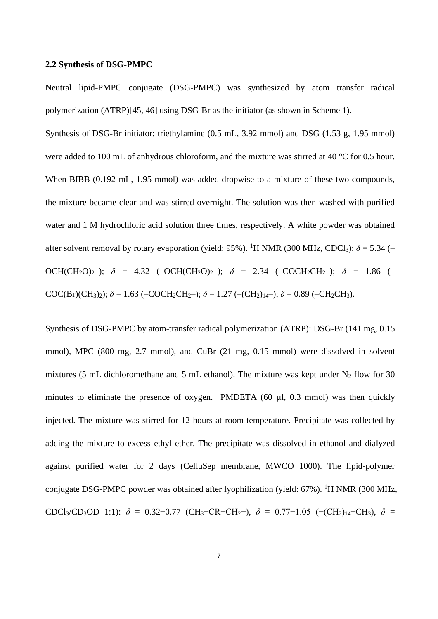#### **2.2 Synthesis of DSG-PMPC**

Neutral lipid-PMPC conjugate (DSG-PMPC) was synthesized by atom transfer radical polymerization (ATRP)[45, 46] using DSG-Br as the initiator (as shown in Scheme 1).

Synthesis of DSG-Br initiator: triethylamine (0.5 mL, 3.92 mmol) and DSG (1.53 g, 1.95 mmol) were added to 100 mL of anhydrous chloroform, and the mixture was stirred at 40 °C for 0.5 hour. When BIBB (0.192 mL, 1.95 mmol) was added dropwise to a mixture of these two compounds, the mixture became clear and was stirred overnight. The solution was then washed with purified water and 1 M hydrochloric acid solution three times, respectively. A white powder was obtained after solvent removal by rotary evaporation (yield: 95%). <sup>1</sup>H NMR (300 MHz, CDCl<sub>3</sub>):  $\delta$  = 5.34 (– OCH(CH<sub>2</sub>O)<sub>2</sub>-);  $\delta$  = 4.32 (-OCH(CH<sub>2</sub>O)<sub>2</sub>-);  $\delta$  = 2.34 (-COCH<sub>2</sub>CH<sub>2</sub>-);  $\delta$  = 1.86 (-COC(Br)(CH<sub>3</sub>)<sub>2</sub>);  $\delta$  = 1.63 (–COCH<sub>2</sub>CH<sub>2</sub>–);  $\delta$  = 1.27 (–(CH<sub>2</sub>)<sub>14</sub>–);  $\delta$  = 0.89 (–CH<sub>2</sub>CH<sub>3</sub>).

Synthesis of DSG-PMPC by atom-transfer radical polymerization (ATRP): DSG-Br (141 mg, 0.15 mmol), MPC (800 mg, 2.7 mmol), and CuBr (21 mg, 0.15 mmol) were dissolved in solvent mixtures (5 mL dichloromethane and 5 mL ethanol). The mixture was kept under  $N_2$  flow for 30 minutes to eliminate the presence of oxygen. PMDETA (60 µl, 0.3 mmol) was then quickly injected. The mixture was stirred for 12 hours at room temperature. Precipitate was collected by adding the mixture to excess ethyl ether. The precipitate was dissolved in ethanol and dialyzed against purified water for 2 days (CelluSep membrane, MWCO 1000). The lipid-polymer conjugate DSG-PMPC powder was obtained after lyophilization (yield: 67%). <sup>1</sup>H NMR (300 MHz, CDCl<sub>3</sub>/CD<sub>3</sub>OD 1:1):  $\delta = 0.32 - 0.77$  (CH<sub>3</sub>–CR–CH<sub>2</sub>–),  $\delta = 0.77 - 1.05$  (–(CH<sub>2</sub>)<sub>14</sub>–CH<sub>3</sub>),  $\delta =$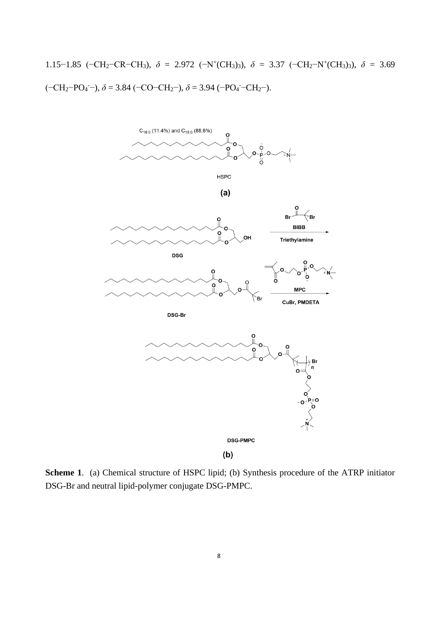1.15−1.85 (−CH<sub>2</sub>−CR−CH<sub>3</sub>),  $\delta$  = 2.972 (−N<sup>+</sup>(CH<sub>3</sub>)<sub>3</sub>),  $\delta$  = 3.37 (−CH<sub>2</sub>−N<sup>+</sup>(CH<sub>3</sub>)<sub>3</sub>),  $\delta$  = 3.69 (−CH2−PO<sup>4</sup> -−), *δ* = 3.84 (−CO−CH2−), *δ* = 3.94 (−PO<sup>4</sup> -−CH2−).



**Scheme 1**. (a) Chemical structure of HSPC lipid; (b) Synthesis procedure of the ATRP initiator DSG-Br and neutral lipid-polymer conjugate DSG-PMPC.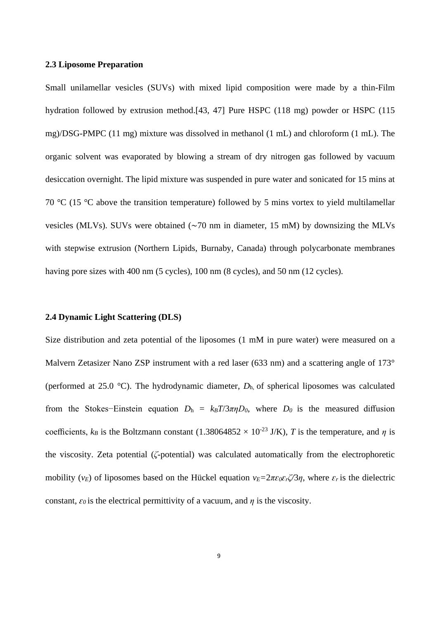## **2.3 Liposome Preparation**

Small unilamellar vesicles (SUVs) with mixed lipid composition were made by a thin-Film hydration followed by extrusion method.[43, 47] Pure HSPC (118 mg) powder or HSPC (115 mg)/DSG-PMPC (11 mg) mixture was dissolved in methanol (1 mL) and chloroform (1 mL). The organic solvent was evaporated by blowing a stream of dry nitrogen gas followed by vacuum desiccation overnight. The lipid mixture was suspended in pure water and sonicated for 15 mins at 70 °C (15 °C above the transition temperature) followed by 5 mins vortex to yield multilamellar vesicles (MLVs). SUVs were obtained (∼70 nm in diameter, 15 mM) by downsizing the MLVs with stepwise extrusion (Northern Lipids, Burnaby, Canada) through polycarbonate membranes having pore sizes with 400 nm (5 cycles), 100 nm (8 cycles), and 50 nm (12 cycles).

#### **2.4 Dynamic Light Scattering (DLS)**

Size distribution and zeta potential of the liposomes (1 mM in pure water) were measured on a Malvern Zetasizer Nano ZSP instrument with a red laser (633 nm) and a scattering angle of 173° (performed at 25.0 °C). The hydrodynamic diameter, *D*h, of spherical liposomes was calculated from the Stokes–Einstein equation  $D_h = k_B T/3\pi\eta D_0$ , where  $D_0$  is the measured diffusion coefficients,  $k_B$  is the Boltzmann constant (1.38064852 × 10<sup>-23</sup> J/K), *T* is the temperature, and *η* is the viscosity. Zeta potential (*ζ*-potential) was calculated automatically from the electrophoretic mobility ( $v_E$ ) of liposomes based on the Hückel equation  $v_E = 2\pi\varepsilon_0\varepsilon_r\zeta/3\eta$ , where  $\varepsilon_r$  is the dielectric constant,  $\varepsilon_0$  is the electrical permittivity of a vacuum, and  $\eta$  is the viscosity.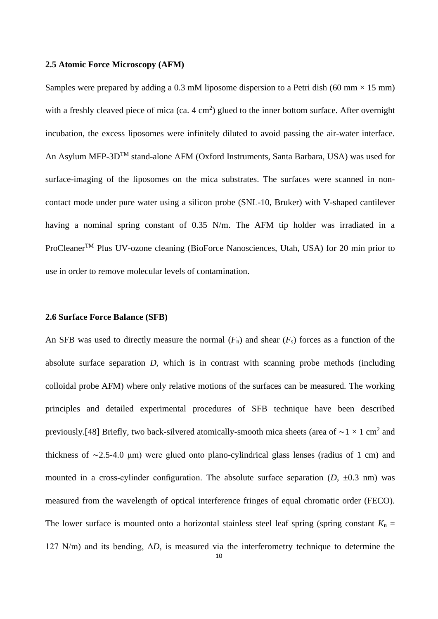#### **2.5 Atomic Force Microscopy (AFM)**

Samples were prepared by adding a 0.3 mM liposome dispersion to a Petri dish (60 mm  $\times$  15 mm) with a freshly cleaved piece of mica (ca.  $4 \text{ cm}^2$ ) glued to the inner bottom surface. After overnight incubation, the excess liposomes were infinitely diluted to avoid passing the air-water interface. An Asylum MFP-3DTM stand-alone AFM (Oxford Instruments, Santa Barbara, USA) was used for surface-imaging of the liposomes on the mica substrates. The surfaces were scanned in noncontact mode under pure water using a silicon probe (SNL-10, Bruker) with V-shaped cantilever having a nominal spring constant of 0.35 N/m. The AFM tip holder was irradiated in a ProCleaner<sup>TM</sup> Plus UV-ozone cleaning (BioForce Nanosciences, Utah, USA) for 20 min prior to use in order to remove molecular levels of contamination.

#### **2.6 Surface Force Balance (SFB)**

An SFB was used to directly measure the normal  $(F_n)$  and shear  $(F_s)$  forces as a function of the absolute surface separation *D,* which is in contrast with scanning probe methods (including colloidal probe AFM) where only relative motions of the surfaces can be measured. The working principles and detailed experimental procedures of SFB technique have been described previously.[48] Briefly, two back-silvered atomically-smooth mica sheets (area of  $\sim$ 1 × 1 cm<sup>2</sup> and thickness of ∼2.5-4.0 μm) were glued onto plano-cylindrical glass lenses (radius of 1 cm) and mounted in a cross-cylinder configuration. The absolute surface separation  $(D, \pm 0.3 \text{ nm})$  was measured from the wavelength of optical interference fringes of equal chromatic order (FECO). The lower surface is mounted onto a horizontal stainless steel leaf spring (spring constant  $K_n =$ 127 N/m) and its bending, Δ*D*, is measured via the interferometry technique to determine the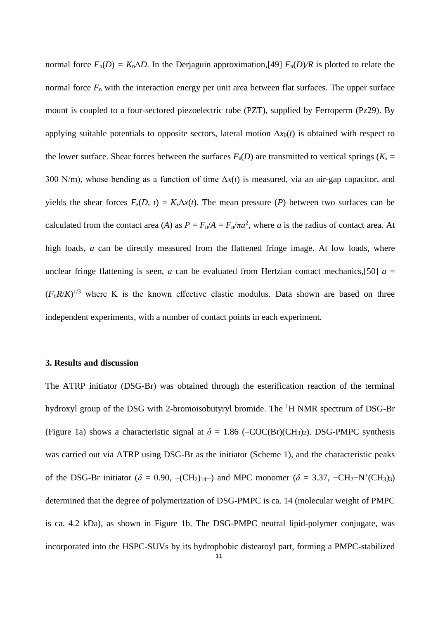normal force  $F_n(D) = K_n \Delta D$ . In the Derjaguin approximation, [49]  $F_n(D)/R$  is plotted to relate the normal force  $F_n$  with the interaction energy per unit area between flat surfaces. The upper surface mount is coupled to a four-sectored piezoelectric tube (PZT), supplied by Ferroperm (Pz29). By applying suitable potentials to opposite sectors, lateral motion  $\Delta x_0(t)$  is obtained with respect to the lower surface. Shear forces between the surfaces  $F_s(D)$  are transmitted to vertical springs ( $K_s =$ 300 N/m), whose bending as a function of time Δ*x*(*t*) is measured, via an air-gap capacitor, and yields the shear forces  $F_s(D, t) = K_s \Delta x(t)$ . The mean pressure (*P*) between two surfaces can be calculated from the contact area (*A*) as  $P = F_n/A = F_n/\pi a^2$ , where *a* is the radius of contact area. At high loads, *a* can be directly measured from the flattened fringe image. At low loads, where unclear fringe flattening is seen, *a* can be evaluated from Hertzian contact mechanics, [50]  $a =$  $(F_n R/K)^{1/3}$  where K is the known effective elastic modulus. Data shown are based on three independent experiments, with a number of contact points in each experiment.

#### **3. Results and discussion**

11 The ATRP initiator (DSG-Br) was obtained through the esterification reaction of the terminal hydroxyl group of the DSG with 2-bromoisobutyryl bromide. The  ${}^{1}H$  NMR spectrum of DSG-Br (Figure 1a) shows a characteristic signal at  $\delta = 1.86$  (–COC(Br)(CH<sub>3</sub>)<sub>2</sub>). DSG-PMPC synthesis was carried out via ATRP using DSG-Br as the initiator (Scheme 1), and the characteristic peaks of the DSG-Br initiator ( $\delta = 0.90$ , –(CH<sub>2</sub>)<sub>14</sub>–) and MPC monomer ( $\delta = 3.37$ , –CH<sub>2</sub>–N<sup>+</sup>(CH<sub>3</sub>)<sub>3</sub>) determined that the degree of polymerization of DSG-PMPC is ca. 14 (molecular weight of PMPC is ca. 4.2 kDa), as shown in Figure 1b. The DSG-PMPC neutral lipid-polymer conjugate, was incorporated into the HSPC-SUVs by its hydrophobic distearoyl part, forming a PMPC-stabilized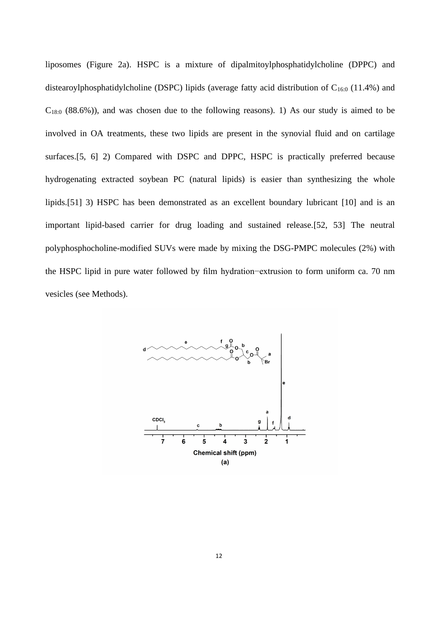liposomes (Figure 2a). HSPC is a mixture of dipalmitoylphosphatidylcholine (DPPC) and distearoylphosphatidylcholine (DSPC) lipids (average fatty acid distribution of  $C_{16:0}$  (11.4%) and  $C_{18:0}$  (88.6%)), and was chosen due to the following reasons). 1) As our study is aimed to be involved in OA treatments, these two lipids are present in the synovial fluid and on cartilage surfaces.[5, 6] 2) Compared with DSPC and DPPC, HSPC is practically preferred because hydrogenating extracted soybean PC (natural lipids) is easier than synthesizing the whole lipids.[51] 3) HSPC has been demonstrated as an excellent boundary lubricant [10] and is an important lipid-based carrier for drug loading and sustained release.[52, 53] The neutral polyphosphocholine-modified SUVs were made by mixing the DSG-PMPC molecules (2%) with the HSPC lipid in pure water followed by film hydration−extrusion to form uniform ca. 70 nm vesicles (see Methods).

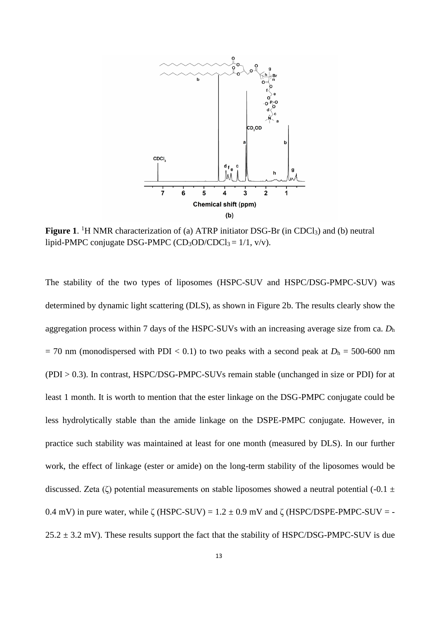

Figure 1. <sup>1</sup>H NMR characterization of (a) ATRP initiator DSG-Br (in CDCl<sub>3</sub>) and (b) neutral lipid-PMPC conjugate DSG-PMPC (CD<sub>3</sub>OD/CDCl<sub>3</sub> =  $1/1$ , v/v).

The stability of the two types of liposomes (HSPC-SUV and HSPC/DSG-PMPC-SUV) was determined by dynamic light scattering (DLS), as shown in Figure 2b. The results clearly show the aggregation process within 7 days of the HSPC-SUVs with an increasing average size from ca. *D*<sup>h</sup>  $= 70$  nm (monodispersed with PDI < 0.1) to two peaks with a second peak at  $D_h = 500$ -600 nm (PDI > 0.3). In contrast, HSPC/DSG-PMPC-SUVs remain stable (unchanged in size or PDI) for at least 1 month. It is worth to mention that the ester linkage on the DSG-PMPC conjugate could be less hydrolytically stable than the amide linkage on the DSPE-PMPC conjugate. However, in practice such stability was maintained at least for one month (measured by DLS). In our further work, the effect of linkage (ester or amide) on the long-term stability of the liposomes would be discussed. Zeta (ζ) potential measurements on stable liposomes showed a neutral potential (-0.1  $\pm$ 0.4 mV) in pure water, while  $\zeta$  (HSPC-SUV) = 1.2  $\pm$  0.9 mV and  $\zeta$  (HSPC/DSPE-PMPC-SUV = - $25.2 \pm 3.2$  mV). These results support the fact that the stability of HSPC/DSG-PMPC-SUV is due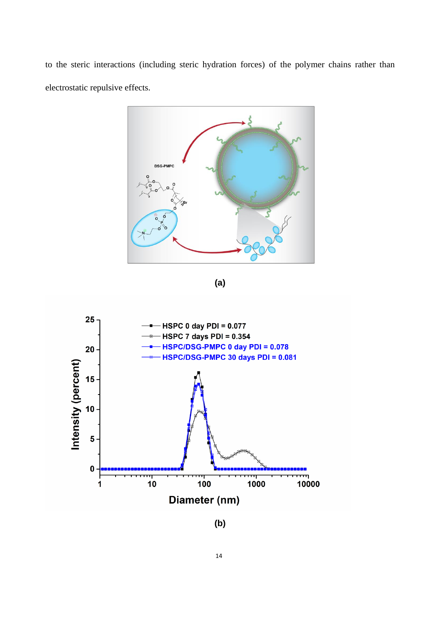to the steric interactions (including steric hydration forces) of the polymer chains rather than electrostatic repulsive effects.



**(a)**



**(b)**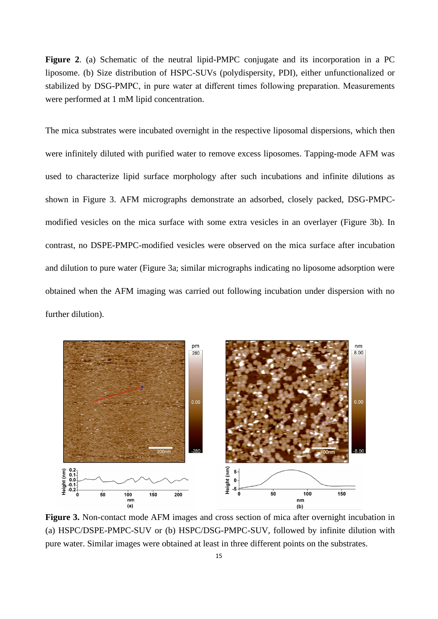**Figure 2**. (a) Schematic of the neutral lipid-PMPC conjugate and its incorporation in a PC liposome. (b) Size distribution of HSPC-SUVs (polydispersity, PDI), either unfunctionalized or stabilized by DSG-PMPC, in pure water at different times following preparation. Measurements were performed at 1 mM lipid concentration.

The mica substrates were incubated overnight in the respective liposomal dispersions, which then were infinitely diluted with purified water to remove excess liposomes. Tapping-mode AFM was used to characterize lipid surface morphology after such incubations and infinite dilutions as shown in Figure 3. AFM micrographs demonstrate an adsorbed, closely packed, DSG-PMPCmodified vesicles on the mica surface with some extra vesicles in an overlayer (Figure 3b). In contrast, no DSPE-PMPC-modified vesicles were observed on the mica surface after incubation and dilution to pure water (Figure 3a; similar micrographs indicating no liposome adsorption were obtained when the AFM imaging was carried out following incubation under dispersion with no further dilution).



**Figure 3.** Non-contact mode AFM images and cross section of mica after overnight incubation in (a) HSPC/DSPE-PMPC-SUV or (b) HSPC/DSG-PMPC-SUV, followed by infinite dilution with pure water. Similar images were obtained at least in three different points on the substrates.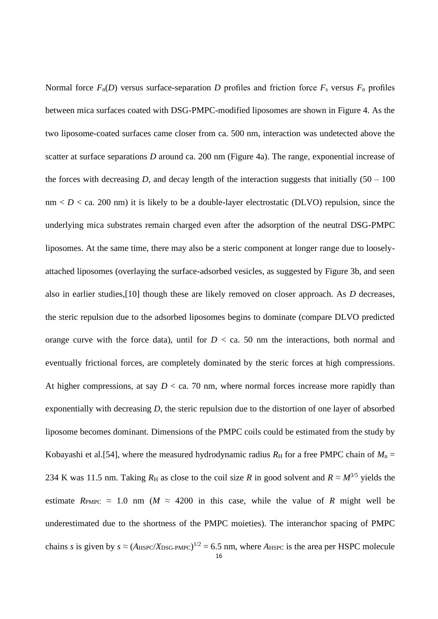16 Normal force  $F_n(D)$  versus surface-separation *D* profiles and friction force  $F_s$  versus  $F_n$  profiles between mica surfaces coated with DSG-PMPC-modified liposomes are shown in Figure 4. As the two liposome-coated surfaces came closer from ca. 500 nm, interaction was undetected above the scatter at surface separations *D* around ca. 200 nm (Figure 4a). The range, exponential increase of the forces with decreasing *D*, and decay length of the interaction suggests that initially  $(50 - 100)$  $nm < D <$  ca. 200 nm) it is likely to be a double-layer electrostatic (DLVO) repulsion, since the underlying mica substrates remain charged even after the adsorption of the neutral DSG-PMPC liposomes. At the same time, there may also be a steric component at longer range due to looselyattached liposomes (overlaying the surface-adsorbed vesicles, as suggested by Figure 3b, and seen also in earlier studies,[10] though these are likely removed on closer approach. As *D* decreases, the steric repulsion due to the adsorbed liposomes begins to dominate (compare DLVO predicted orange curve with the force data), until for  $D <$  ca. 50 nm the interactions, both normal and eventually frictional forces, are completely dominated by the steric forces at high compressions. At higher compressions, at say  $D <$  ca. 70 nm, where normal forces increase more rapidly than exponentially with decreasing *D*, the steric repulsion due to the distortion of one layer of absorbed liposome becomes dominant. Dimensions of the PMPC coils could be estimated from the study by Kobayashi et al. [54], where the measured hydrodynamic radius  $R_H$  for a free PMPC chain of  $M_n =$ 234 K was 11.5 nm. Taking  $R_H$  as close to the coil size R in good solvent and  $R \approx M^{3/5}$  yields the estimate  $R_{\text{PMPC}} \approx 1.0 \text{ nm}$  ( $M \approx 4200 \text{ in this case}$ , while the value of *R* might well be underestimated due to the shortness of the PMPC moieties). The interanchor spacing of PMPC chains *s* is given by  $s \approx (A_{\text{HSPC}}/X_{\text{DSG-PMPC}})^{1/2} = 6.5$  nm, where  $A_{\text{HSPC}}$  is the area per HSPC molecule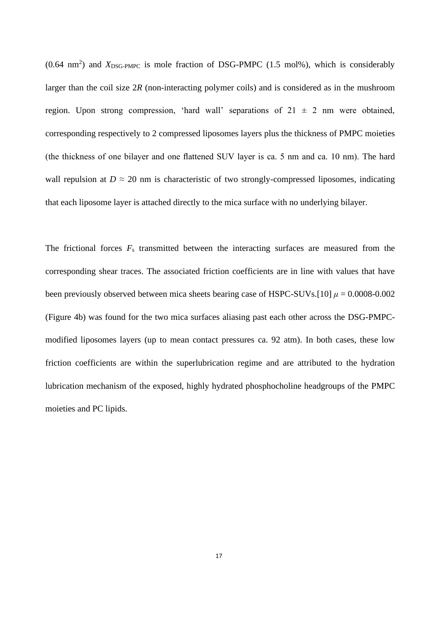$(0.64 \text{ nm}^2)$  and  $X_{\text{DSG-PMPC}}$  is mole fraction of DSG-PMPC (1.5 mol%), which is considerably larger than the coil size 2*R* (non-interacting polymer coils) and is considered as in the mushroom region. Upon strong compression, 'hard wall' separations of  $21 \pm 2$  nm were obtained, corresponding respectively to 2 compressed liposomes layers plus the thickness of PMPC moieties (the thickness of one bilayer and one flattened SUV layer is ca. 5 nm and ca. 10 nm). The hard wall repulsion at  $D \approx 20$  nm is characteristic of two strongly-compressed liposomes, indicating that each liposome layer is attached directly to the mica surface with no underlying bilayer.

The frictional forces *F*<sup>s</sup> transmitted between the interacting surfaces are measured from the corresponding shear traces. The associated friction coefficients are in line with values that have been previously observed between mica sheets bearing case of HSPC-SUVs.[10]  $\mu = 0.0008 - 0.002$ (Figure 4b) was found for the two mica surfaces aliasing past each other across the DSG-PMPCmodified liposomes layers (up to mean contact pressures ca. 92 atm). In both cases, these low friction coefficients are within the superlubrication regime and are attributed to the hydration lubrication mechanism of the exposed, highly hydrated phosphocholine headgroups of the PMPC moieties and PC lipids.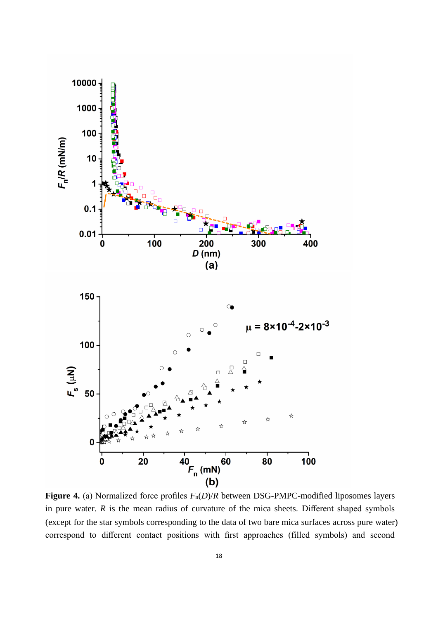

**Figure 4.** (a) Normalized force profiles  $F_n(D)/R$  between DSG-PMPC-modified liposomes layers in pure water.  $R$  is the mean radius of curvature of the mica sheets. Different shaped symbols (except for the star symbols corresponding to the data of two bare mica surfaces across pure water) correspond to different contact positions with first approaches (filled symbols) and second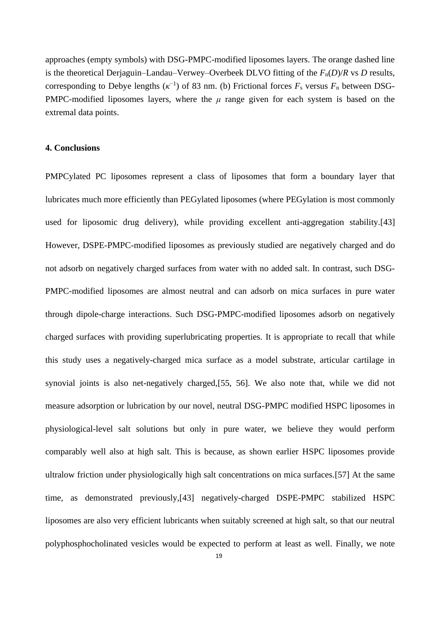approaches (empty symbols) with DSG-PMPC-modified liposomes layers. The orange dashed line is the theoretical Derjaguin–Landau–Verwey–Overbeek DLVO fitting of the  $F_n(D)/R$  vs *D* results, corresponding to Debye lengths  $(\kappa^{-1})$  of 83 nm. (b) Frictional forces  $F_s$  versus  $F_n$  between DSG-PMPC-modified liposomes layers, where the *μ* range given for each system is based on the extremal data points.

#### **4. Conclusions**

PMPCylated PC liposomes represent a class of liposomes that form a boundary layer that lubricates much more efficiently than PEGylated liposomes (where PEGylation is most commonly used for liposomic drug delivery), while providing excellent anti-aggregation stability.[43] However, DSPE-PMPC-modified liposomes as previously studied are negatively charged and do not adsorb on negatively charged surfaces from water with no added salt. In contrast, such DSG-PMPC-modified liposomes are almost neutral and can adsorb on mica surfaces in pure water through dipole-charge interactions. Such DSG-PMPC-modified liposomes adsorb on negatively charged surfaces with providing superlubricating properties. It is appropriate to recall that while this study uses a negatively-charged mica surface as a model substrate, articular cartilage in synovial joints is also net-negatively charged,[55, 56]. We also note that, while we did not measure adsorption or lubrication by our novel, neutral DSG-PMPC modified HSPC liposomes in physiological-level salt solutions but only in pure water, we believe they would perform comparably well also at high salt. This is because, as shown earlier HSPC liposomes provide ultralow friction under physiologically high salt concentrations on mica surfaces.[57] At the same time, as demonstrated previously,[43] negatively-charged DSPE-PMPC stabilized HSPC liposomes are also very efficient lubricants when suitably screened at high salt, so that our neutral polyphosphocholinated vesicles would be expected to perform at least as well. Finally, we note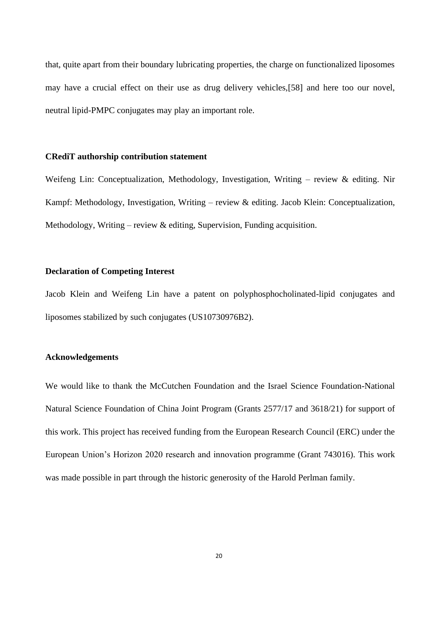that, quite apart from their boundary lubricating properties, the charge on functionalized liposomes may have a crucial effect on their use as drug delivery vehicles,[58] and here too our novel, neutral lipid-PMPC conjugates may play an important role.

#### **CRediT authorship contribution statement**

Weifeng Lin: Conceptualization, Methodology, Investigation, Writing – review & editing. Nir Kampf: Methodology, Investigation, Writing – review & editing. Jacob Klein: Conceptualization, Methodology, Writing – review  $\&$  editing, Supervision, Funding acquisition.

## **Declaration of Competing Interest**

Jacob Klein and Weifeng Lin have a patent on polyphosphocholinated-lipid conjugates and liposomes stabilized by such conjugates (US10730976B2).

#### **Acknowledgements**

We would like to thank the McCutchen Foundation and the Israel Science Foundation-National Natural Science Foundation of China Joint Program (Grants 2577/17 and 3618/21) for support of this work. This project has received funding from the European Research Council (ERC) under the European Union's Horizon 2020 research and innovation programme (Grant 743016). This work was made possible in part through the historic generosity of the Harold Perlman family.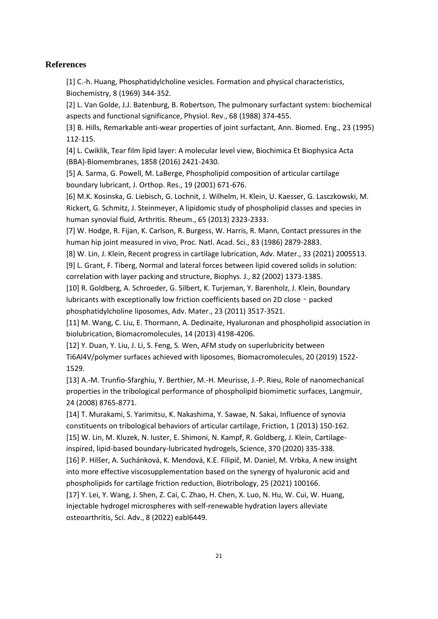#### **References**

[1] C.-h. Huang, Phosphatidylcholine vesicles. Formation and physical characteristics, Biochemistry, 8 (1969) 344-352.

[2] L. Van Golde, J.J. Batenburg, B. Robertson, The pulmonary surfactant system: biochemical aspects and functional significance, Physiol. Rev., 68 (1988) 374-455.

[3] B. Hills, Remarkable anti-wear properties of joint surfactant, Ann. Biomed. Eng., 23 (1995) 112-115.

[4] L. Cwiklik, Tear film lipid layer: A molecular level view, Biochimica Et Biophysica Acta (BBA)-Biomembranes, 1858 (2016) 2421-2430.

[5] A. Sarma, G. Powell, M. LaBerge, Phospholipid composition of articular cartilage boundary lubricant, J. Orthop. Res., 19 (2001) 671-676.

[6] M.K. Kosinska, G. Liebisch, G. Lochnit, J. Wilhelm, H. Klein, U. Kaesser, G. Lasczkowski, M. Rickert, G. Schmitz, J. Steinmeyer, A lipidomic study of phospholipid classes and species in human synovial fluid, Arthritis. Rheum., 65 (2013) 2323-2333.

[7] W. Hodge, R. Fijan, K. Carlson, R. Burgess, W. Harris, R. Mann, Contact pressures in the human hip joint measured in vivo, Proc. Natl. Acad. Sci., 83 (1986) 2879-2883.

[8] W. Lin, J. Klein, Recent progress in cartilage lubrication, Adv. Mater., 33 (2021) 2005513.

[9] L. Grant, F. Tiberg, Normal and lateral forces between lipid covered solids in solution: correlation with layer packing and structure, Biophys. J., 82 (2002) 1373-1385.

[10] R. Goldberg, A. Schroeder, G. Silbert, K. Turjeman, Y. Barenholz, J. Klein, Boundary lubricants with exceptionally low friction coefficients based on 2D close - packed phosphatidylcholine liposomes, Adv. Mater., 23 (2011) 3517-3521.

[11] M. Wang, C. Liu, E. Thormann, A. Dedinaite, Hyaluronan and phospholipid association in biolubrication, Biomacromolecules, 14 (2013) 4198-4206.

[12] Y. Duan, Y. Liu, J. Li, S. Feng, S. Wen, AFM study on superlubricity between Ti6Al4V/polymer surfaces achieved with liposomes, Biomacromolecules, 20 (2019) 1522- 1529.

[13] A.-M. Trunfio-Sfarghiu, Y. Berthier, M.-H. Meurisse, J.-P. Rieu, Role of nanomechanical properties in the tribological performance of phospholipid biomimetic surfaces, Langmuir, 24 (2008) 8765-8771.

[14] T. Murakami, S. Yarimitsu, K. Nakashima, Y. Sawae, N. Sakai, Influence of synovia constituents on tribological behaviors of articular cartilage, Friction, 1 (2013) 150-162. [15] W. Lin, M. Kluzek, N. Iuster, E. Shimoni, N. Kampf, R. Goldberg, J. Klein, Cartilage-

inspired, lipid-based boundary-lubricated hydrogels, Science, 370 (2020) 335-338.

[16] P. Hilšer, A. Suchánková, K. Mendová, K.E. Filipič, M. Daniel, M. Vrbka, A new insight into more effective viscosupplementation based on the synergy of hyaluronic acid and phospholipids for cartilage friction reduction, Biotribology, 25 (2021) 100166.

[17] Y. Lei, Y. Wang, J. Shen, Z. Cai, C. Zhao, H. Chen, X. Luo, N. Hu, W. Cui, W. Huang, Injectable hydrogel microspheres with self-renewable hydration layers alleviate osteoarthritis, Sci. Adv., 8 (2022) eabl6449.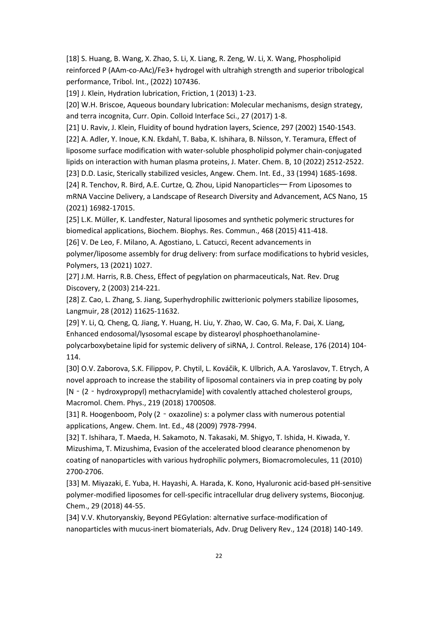[18] S. Huang, B. Wang, X. Zhao, S. Li, X. Liang, R. Zeng, W. Li, X. Wang, Phospholipid reinforced P (AAm-co-AAc)/Fe3+ hydrogel with ultrahigh strength and superior tribological performance, Tribol. Int., (2022) 107436.

[19] J. Klein, Hydration lubrication, Friction, 1 (2013) 1-23.

[20] W.H. Briscoe, Aqueous boundary lubrication: Molecular mechanisms, design strategy, and terra incognita, Curr. Opin. Colloid Interface Sci., 27 (2017) 1-8.

[21] U. Raviv, J. Klein, Fluidity of bound hydration layers, Science, 297 (2002) 1540-1543.

[22] A. Adler, Y. Inoue, K.N. Ekdahl, T. Baba, K. Ishihara, B. Nilsson, Y. Teramura, Effect of liposome surface modification with water-soluble phospholipid polymer chain-conjugated lipids on interaction with human plasma proteins, J. Mater. Chem. B, 10 (2022) 2512-2522.

[23] D.D. Lasic, Sterically stabilized vesicles, Angew. Chem. Int. Ed., 33 (1994) 1685-1698.

[24] R. Tenchov, R. Bird, A.E. Curtze, Q. Zhou, Lipid Nanoparticles— From Liposomes to mRNA Vaccine Delivery, a Landscape of Research Diversity and Advancement, ACS Nano, 15 (2021) 16982-17015.

[25] L.K. Müller, K. Landfester, Natural liposomes and synthetic polymeric structures for biomedical applications, Biochem. Biophys. Res. Commun., 468 (2015) 411-418.

[26] V. De Leo, F. Milano, A. Agostiano, L. Catucci, Recent advancements in

polymer/liposome assembly for drug delivery: from surface modifications to hybrid vesicles, Polymers, 13 (2021) 1027.

[27] J.M. Harris, R.B. Chess, Effect of pegylation on pharmaceuticals, Nat. Rev. Drug Discovery, 2 (2003) 214-221.

[28] Z. Cao, L. Zhang, S. Jiang, Superhydrophilic zwitterionic polymers stabilize liposomes, Langmuir, 28 (2012) 11625-11632.

[29] Y. Li, Q. Cheng, Q. Jiang, Y. Huang, H. Liu, Y. Zhao, W. Cao, G. Ma, F. Dai, X. Liang, Enhanced endosomal/lysosomal escape by distearoyl phosphoethanolaminepolycarboxybetaine lipid for systemic delivery of siRNA, J. Control. Release, 176 (2014) 104- 114.

[30] O.V. Zaborova, S.K. Filippov, P. Chytil, L. Kováčik, K. Ulbrich, A.A. Yaroslavov, T. Etrych, A novel approach to increase the stability of liposomal containers via in prep coating by poly [N‐(2‐hydroxypropyl) methacrylamide] with covalently attached cholesterol groups, Macromol. Chem. Phys., 219 (2018) 1700508.

[31] R. Hoogenboom, Poly (2 - oxazoline) s: a polymer class with numerous potential applications, Angew. Chem. Int. Ed., 48 (2009) 7978-7994.

[32] T. Ishihara, T. Maeda, H. Sakamoto, N. Takasaki, M. Shigyo, T. Ishida, H. Kiwada, Y. Mizushima, T. Mizushima, Evasion of the accelerated blood clearance phenomenon by coating of nanoparticles with various hydrophilic polymers, Biomacromolecules, 11 (2010) 2700-2706.

[33] M. Miyazaki, E. Yuba, H. Hayashi, A. Harada, K. Kono, Hyaluronic acid-based pH-sensitive polymer-modified liposomes for cell-specific intracellular drug delivery systems, Bioconjug. Chem., 29 (2018) 44-55.

[34] V.V. Khutoryanskiy, Beyond PEGylation: alternative surface-modification of nanoparticles with mucus-inert biomaterials, Adv. Drug Delivery Rev., 124 (2018) 140-149.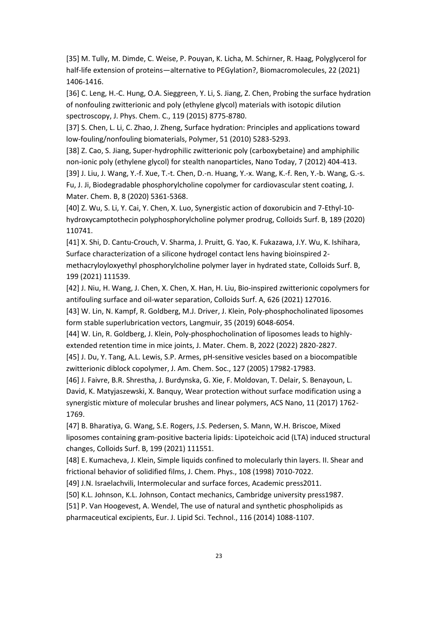[35] M. Tully, M. Dimde, C. Weise, P. Pouyan, K. Licha, M. Schirner, R. Haag, Polyglycerol for half-life extension of proteins—alternative to PEGylation?, Biomacromolecules, 22 (2021) 1406-1416.

[36] C. Leng, H.-C. Hung, O.A. Sieggreen, Y. Li, S. Jiang, Z. Chen, Probing the surface hydration of nonfouling zwitterionic and poly (ethylene glycol) materials with isotopic dilution spectroscopy, J. Phys. Chem. C., 119 (2015) 8775-8780.

[37] S. Chen, L. Li, C. Zhao, J. Zheng, Surface hydration: Principles and applications toward low-fouling/nonfouling biomaterials, Polymer, 51 (2010) 5283-5293.

[38] Z. Cao, S. Jiang, Super-hydrophilic zwitterionic poly (carboxybetaine) and amphiphilic non-ionic poly (ethylene glycol) for stealth nanoparticles, Nano Today, 7 (2012) 404-413.

[39] J. Liu, J. Wang, Y.-f. Xue, T.-t. Chen, D.-n. Huang, Y.-x. Wang, K.-f. Ren, Y.-b. Wang, G.-s. Fu, J. Ji, Biodegradable phosphorylcholine copolymer for cardiovascular stent coating, J. Mater. Chem. B, 8 (2020) 5361-5368.

[40] Z. Wu, S. Li, Y. Cai, Y. Chen, X. Luo, Synergistic action of doxorubicin and 7-Ethyl-10 hydroxycamptothecin polyphosphorylcholine polymer prodrug, Colloids Surf. B, 189 (2020) 110741.

[41] X. Shi, D. Cantu-Crouch, V. Sharma, J. Pruitt, G. Yao, K. Fukazawa, J.Y. Wu, K. Ishihara, Surface characterization of a silicone hydrogel contact lens having bioinspired 2 methacryloyloxyethyl phosphorylcholine polymer layer in hydrated state, Colloids Surf. B, 199 (2021) 111539.

[42] J. Niu, H. Wang, J. Chen, X. Chen, X. Han, H. Liu, Bio-inspired zwitterionic copolymers for antifouling surface and oil-water separation, Colloids Surf. A, 626 (2021) 127016.

[43] W. Lin, N. Kampf, R. Goldberg, M.J. Driver, J. Klein, Poly-phosphocholinated liposomes form stable superlubrication vectors, Langmuir, 35 (2019) 6048-6054.

[44] W. Lin, R. Goldberg, J. Klein, Poly-phosphocholination of liposomes leads to highlyextended retention time in mice joints, J. Mater. Chem. B, 2022 (2022) 2820-2827.

[45] J. Du, Y. Tang, A.L. Lewis, S.P. Armes, pH-sensitive vesicles based on a biocompatible zwitterionic diblock copolymer, J. Am. Chem. Soc., 127 (2005) 17982-17983.

[46] J. Faivre, B.R. Shrestha, J. Burdynska, G. Xie, F. Moldovan, T. Delair, S. Benayoun, L. David, K. Matyjaszewski, X. Banquy, Wear protection without surface modification using a synergistic mixture of molecular brushes and linear polymers, ACS Nano, 11 (2017) 1762- 1769.

[47] B. Bharatiya, G. Wang, S.E. Rogers, J.S. Pedersen, S. Mann, W.H. Briscoe, Mixed liposomes containing gram-positive bacteria lipids: Lipoteichoic acid (LTA) induced structural changes, Colloids Surf. B, 199 (2021) 111551.

[48] E. Kumacheva, J. Klein, Simple liquids confined to molecularly thin layers. II. Shear and frictional behavior of solidified films, J. Chem. Phys., 108 (1998) 7010-7022.

[49] J.N. Israelachvili, Intermolecular and surface forces, Academic press2011.

[50] K.L. Johnson, K.L. Johnson, Contact mechanics, Cambridge university press1987.

[51] P. Van Hoogevest, A. Wendel, The use of natural and synthetic phospholipids as pharmaceutical excipients, Eur. J. Lipid Sci. Technol., 116 (2014) 1088-1107.